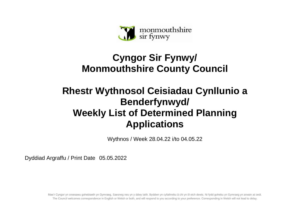

## **Cyngor Sir Fynwy/ Monmouthshire County Council**

## **Rhestr Wythnosol Ceisiadau Cynllunio a Benderfynwyd/ Weekly List of Determined Planning Applications**

Wythnos / Week 28.04.22 i/to 04.05.22

Dyddiad Argraffu / Print Date 05.05.2022

Mae'r Cyngor yn croesawu gohebiaeth yn Gymraeg, Saesneg neu yn y ddwy iaith. Byddwn yn cyfathrebu â chi yn ôl eich dewis. Ni fydd gohebu yn Gymraeg yn arwain at oedi. The Council welcomes correspondence in English or Welsh or both, and will respond to you according to your preference. Corresponding in Welsh will not lead to delay.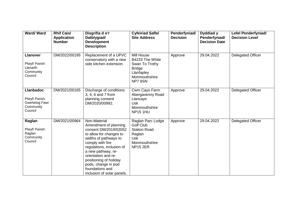| <b>Ward/Ward</b>                                                                   | <b>Rhif Cais/</b><br><b>Application</b><br><b>Number</b> | Disgrifia d o'r<br>Datblygiad/<br><b>Development</b><br><b>Description</b>                                                                                                                                                                                                                                         | <b>Cyfeiriad Safle/</b><br><b>Site Address</b>                                                                           | Penderfyniad/<br><b>Decision</b> | Dyddiad y<br>Penderfyniad/<br><b>Decision Date</b> | Lefel Penderfyniad/<br><b>Decision Level</b> |
|------------------------------------------------------------------------------------|----------------------------------------------------------|--------------------------------------------------------------------------------------------------------------------------------------------------------------------------------------------------------------------------------------------------------------------------------------------------------------------|--------------------------------------------------------------------------------------------------------------------------|----------------------------------|----------------------------------------------------|----------------------------------------------|
| <b>Llanover</b><br>Plwyf/ Parish:<br>Llanarth<br>Community<br>Council              | DM/2022/00195                                            | Replacement of a UPVC<br>conservatory with a new<br>side kitchen extension.                                                                                                                                                                                                                                        | Mill House<br>B4233 The White<br>Swan To Trothy<br><b>Bridge</b><br>Llanfapley<br>Monmouthshire<br>NP78SN                | Approve                          | 29.04.2022                                         | <b>Delegated Officer</b>                     |
| <b>Llanbadoc</b><br>Plwyf/ Parish:<br><b>Gwehelog Fawr</b><br>Community<br>Council | DM/2021/00165                                            | Discharge of conditions<br>3, 4, 6 and 7 from<br>planning consent<br>DM/2020/00992.                                                                                                                                                                                                                                | Cwm Cayo Farm<br>Abergavenny Road<br>Llancayo<br>Usk<br>Monmouthshire<br><b>NP15 1HU</b>                                 | Approve                          | 29.04.2022                                         | <b>Delegated Officer</b>                     |
| Raglan<br>Plwyf/ Parish:<br>Raglan<br>Community<br>Council                         | DM/2021/00964                                            | Non-Material<br>Amendment of planning<br>consent DM/2019/02052<br>to allow for changes to<br>widths of pathways to<br>comply with fire<br>regulations, inclusion of<br>a new pathway, re-<br>orientation and re-<br>positioning of holiday<br>pods, change in pod<br>foundations and<br>inclusion of solar panels. | Raglan Parc Lodge<br><b>Golf Club</b><br><b>Station Road</b><br>Raglan<br><b>Usk</b><br>Monmouthshire<br><b>NP15 2ER</b> | Approve                          | 29.04.2022                                         | <b>Delegated Officer</b>                     |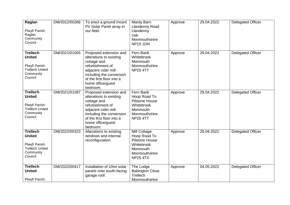| Raglan<br>Plwyf/ Parish:<br>Raglan<br>Community<br>Council                                           | DM/2022/00266 | To erect a ground mount<br>PV Solar Panel array in<br>our field.                                                                                                                                      | Mardy Barn<br><b>Llandenny Road</b><br>Llandenny<br><b>Usk</b><br>Monmouthshire<br><b>NP15 1DN</b>                  | Approve | 29.04.2022 | <b>Delegated Officer</b> |
|------------------------------------------------------------------------------------------------------|---------------|-------------------------------------------------------------------------------------------------------------------------------------------------------------------------------------------------------|---------------------------------------------------------------------------------------------------------------------|---------|------------|--------------------------|
| <b>Trellech</b><br><b>United</b><br>Plwyf/ Parish:<br><b>Trellech United</b><br>Community<br>Council | DM/2021/01005 | Proposed extension and<br>alterations to existing<br>cottage and<br>refurbishment of<br>adjacent cider mill<br>including the conversion<br>of the first floor into a<br>home office/guest<br>bedroom. | Fern Bank<br>Whitebrook<br>Monmouth<br>Monmouthshire<br><b>NP25 4TT</b>                                             | Approve | 29.04.2022 | Delegated Officer        |
| <b>Trellech</b><br><b>United</b><br>Plwyf/ Parish:<br><b>Trellech United</b><br>Community<br>Council | DM/2021/01097 | Proposed extension and<br>alterations to existing<br>cottage and<br>refurbishment of<br>adjacent cider mill<br>including the conversion<br>of the first floor into a<br>home office/guest<br>bedroom. | Fern Bank<br>Hoop Road To<br><b>Pilstone House</b><br>Whitebrook<br>Monmouth<br>Monmouthshire<br><b>NP25 4TT</b>    | Approve | 29.04.2022 | <b>Delegated Officer</b> |
| <b>Trellech</b><br><b>United</b><br>Plwyf/ Parish:<br><b>Trellech United</b><br>Community<br>Council | DM/2022/00323 | Alterations to existing<br>windows and internal<br>reconfiguration.                                                                                                                                   | Mill Cottage<br>Hoop Road To<br><b>Pilstone House</b><br>Whitebrook<br>Monmouth<br>Monmouthshire<br><b>NP25 4TX</b> | Approve | 29.04.2022 | <b>Delegated Officer</b> |
| <b>Trellech</b><br><b>United</b><br>Plwyf/ Parish:                                                   | DM/2022/00417 | Installation of 10no solar<br>panels onto south-facing<br>garage roof.                                                                                                                                | The Lodge<br><b>Babington Close</b><br>Trellech<br>Monmouthshire                                                    | Approve | 04.05.2022 | <b>Delegated Officer</b> |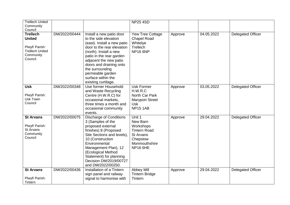| <b>Trellech United</b><br>Community                                                                             |               |                                                                                                                                                                                                                                                                                                               | <b>NP25 4SD</b>                                                                                                            |         |            |                          |
|-----------------------------------------------------------------------------------------------------------------|---------------|---------------------------------------------------------------------------------------------------------------------------------------------------------------------------------------------------------------------------------------------------------------------------------------------------------------|----------------------------------------------------------------------------------------------------------------------------|---------|------------|--------------------------|
| Council<br><b>Trellech</b><br><b>United</b><br>Plwyf/ Parish:<br><b>Trellech United</b><br>Community<br>Council | DM/2022/00444 | Install a new patio door<br>to the side elevation<br>(east). Install a new patio<br>door to the rear elevation<br>(north). Install a new<br>patio in the rear garden<br>adjacent the new patio<br>doors and draining onto<br>the surrounding<br>permeable garden<br>surface within the<br>existing curtilage. | Yew Tree Cottage<br><b>Chapel Road</b><br>Whitelye<br>Trellech<br><b>NP16 6NP</b>                                          | Approve | 04.05.2022 | <b>Delegated Officer</b> |
| <b>Usk</b><br>Plwyf/ Parish:<br>Usk Town<br>Council                                                             | DM/2022/00348 | Use former Household<br>and Waste Recycling<br>Centre (H.W.R.C) for<br>occasional markets,<br>three times a month and<br>occasional community<br>events.                                                                                                                                                      | <b>Usk Former</b><br>H.W.R.C<br>North Car Park<br><b>Maryport Street</b><br><b>Usk</b><br><b>NP15 1AB</b>                  | Approve | 03.05.2022 | <b>Delegated Officer</b> |
| <b>St Arvans</b><br>Plwyf/ Parish:<br>St Arvans<br>Community<br>Council                                         | DM/2022/00075 | <b>Discharge of Conditions</b><br>3 (Samples of the<br>proposed external<br>finishes) 8 (Proposed<br>Site Sections and levels),<br>10 (Construction<br>Environmental<br>Management Plan), 12<br>(Ecological Method<br>Statement) for planning<br>Decision DM/2019/00727<br>and DM/2022/00250.                 | Unit 1<br>New Barn<br>Workshops<br><b>Tintern Road</b><br><b>St Arvans</b><br>Chepstow<br>Monmouthshire<br><b>NP16 6HE</b> | Approve | 29.04.2022 | <b>Delegated Officer</b> |
| <b>St Arvans</b><br>Plwyf/ Parish:<br>Tintern                                                                   | DM/2022/00436 | Installation of a Tintern<br>sign panel and railway<br>signal to harmonise with                                                                                                                                                                                                                               | Abbey Mill<br><b>Tintern Bridge</b><br>Tintern                                                                             | Approve | 29.04.2022 | <b>Delegated Officer</b> |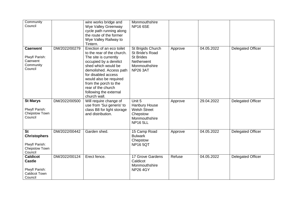| Community<br>Council                                                                  |               | wire works bridge and<br>Wye Valley Greenway<br>cycle path running along<br>the route of the former<br>Wye Valley Railway to                                                                                                                                                                                       | Monmouthshire<br><b>NP16 6SE</b>                                                                           |         |            |                          |
|---------------------------------------------------------------------------------------|---------------|--------------------------------------------------------------------------------------------------------------------------------------------------------------------------------------------------------------------------------------------------------------------------------------------------------------------|------------------------------------------------------------------------------------------------------------|---------|------------|--------------------------|
| <b>Caerwent</b><br>Plwyf/ Parish:<br>Caerwent<br>Community<br>Council                 | DM/2022/00279 | Tintern.<br>Erection of an eco toilet<br>to the rear of the church.<br>The site is currently<br>occupied by a derelict<br>shed which would be<br>demolished. Access path<br>for disabled access<br>would also be required<br>from the porch to the<br>rear of the church<br>following the external<br>church wall. | St Brigids Church<br>St Bride's Road<br><b>St Brides</b><br>Netherwent<br>Monmouthshire<br><b>NP26 3AT</b> | Approve | 04.05.2022 | <b>Delegated Officer</b> |
| <b>St Marys</b><br>Plwyf/ Parish:<br>Chepstow Town<br>Council                         | DM/2022/00500 | Will require change of<br>use from 'Sui generis' to<br>class B8 for light storage<br>and distribution.                                                                                                                                                                                                             | Unit 5<br>Hanbury House<br><b>Welsh Street</b><br>Chepstow<br>Monmouthshire<br><b>NP16 5LL</b>             | Approve | 29.04.2022 | <b>Delegated Officer</b> |
| <b>St</b><br><b>Christophers</b><br>Plwyf/ Parish:<br>Chepstow Town<br>Council        | DM/2022/00442 | Garden shed.                                                                                                                                                                                                                                                                                                       | 15 Camp Road<br><b>Bulwark</b><br>Chepstow<br><b>NP165QT</b>                                               | Approve | 04.05.2022 | <b>Delegated Officer</b> |
| <b>Caldicot</b><br><b>Castle</b><br>Plwyf/ Parish:<br><b>Caldicot Town</b><br>Council | DM/2022/00124 | Erect fence.                                                                                                                                                                                                                                                                                                       | 17 Grove Gardens<br>Caldicot<br>Monmouthshire<br><b>NP264GY</b>                                            | Refuse  | 04.05.2022 | <b>Delegated Officer</b> |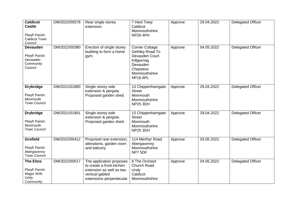| <b>Caldicot</b><br><b>Castle</b><br>Plwyf/ Parish:<br><b>Caldicot Town</b><br>Council | DM/2022/00578 | Rear single storey<br>extension.                                                                                                 | 7 Heol Towy<br>Caldicot<br>Monmouthshire<br>NP26 4PH                                                                                 | Approve | 29.04.2022 | <b>Delegated Officer</b> |
|---------------------------------------------------------------------------------------|---------------|----------------------------------------------------------------------------------------------------------------------------------|--------------------------------------------------------------------------------------------------------------------------------------|---------|------------|--------------------------|
| <b>Devauden</b><br>Plwyf/ Parish:<br>Devauden<br>Community<br>Council                 | DM/2022/00380 | Erection of single storey<br>building to form a home<br>gym.                                                                     | <b>Corner Cottage</b><br>Gethley Road To<br>Devauden Court<br>Killgwrrwg<br>Devauden<br>Chepstow<br>Monmouthshire<br><b>NP16 6PL</b> | Approve | 04.05.2022 | Delegated Officer        |
| <b>Drybridge</b><br>Plwyf/ Parish:<br>Monmouth<br><b>Town Council</b>                 | DM/2021/01890 | Single storey side<br>extension & pergola.<br>Proposed garden shed.                                                              | 13 Chippenhamgate<br><b>Street</b><br>Monmouth<br>Monmouthshire<br><b>NP25 3DH</b>                                                   | Approve | 29.04.2022 | Delegated Officer        |
| <b>Drybridge</b><br>Plwyf/ Parish:<br>Monmouth<br><b>Town Council</b>                 | DM/2021/01891 | Single storey side<br>extension & pergola.<br>Proposed garden shed.                                                              | 13 Chippenhamgate<br><b>Street</b><br>Monmouth<br>Monmouthshire<br><b>NP25 3DH</b>                                                   | Approve | 29.04.2022 | <b>Delegated Officer</b> |
| <b>Grofield</b><br>Plwyf/ Parish:<br>Abergavenny<br><b>Town Council</b>               | DM/2022/00412 | Proposed rear extension,<br>alterations, garden room<br>and balcony.                                                             | 114 Merthyr Road<br>Abergavenny<br>Monmouthshire<br>NP7 5DF                                                                          | Approve | 03.05.2022 | <b>Delegated Officer</b> |
| <b>The Elms</b><br>Plwyf/ Parish:<br>Magor With<br>Undy<br>Community                  | DM/2022/00017 | The application proposes<br>to create a front kitchen<br>extension as well as two<br>vertical gabled<br>extensions perpendicular | 8 The Orchard<br>Church Road<br>Undy<br>Caldicot<br>Monmouthshire                                                                    | Approve | 04.05.2022 | Delegated Officer        |